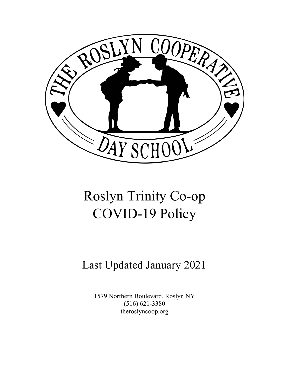

# Roslyn Trinity Co-op COVID-19 Policy

## Last Updated January 2021

1579 Northern Boulevard, Roslyn NY (516) 621-3380 theroslyncoop.org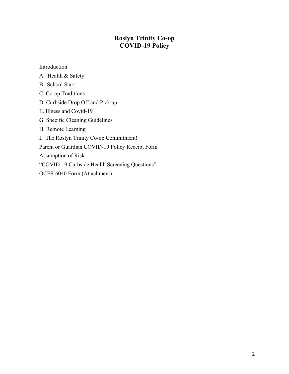## **Roslyn Trinity Co-op COVID-19 Policy**

Introduction

- A. Health & Safety
- B. School Start
- C. Co-op Traditions
- D. Curbside Drop Off and Pick up
- E. Illness and Covid-19
- G. Specific Cleaning Guidelines
- H. Remote Learning

I. The Roslyn Trinity Co-op Commitment!

Parent or Guardian COVID-19 Policy Receipt Form

Assumption of Risk

"COVID-19 Curbside Health Screening Questions"

OCFS-6040 Form (Attachment)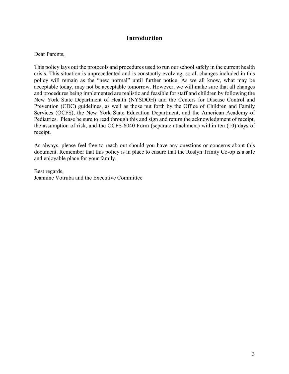## **Introduction**

#### Dear Parents,

This policy lays out the protocols and procedures used to run our school safely in the current health crisis. This situation is unprecedented and is constantly evolving, so all changes included in this policy will remain as the "new normal" until further notice. As we all know, what may be acceptable today, may not be acceptable tomorrow. However, we will make sure that all changes and procedures being implemented are realistic and feasible for staff and children by following the New York State Department of Health (NYSDOH) and the Centers for Disease Control and Prevention (CDC) guidelines, as well as those put forth by the Office of Children and Family Services (OCFS), the New York State Education Department, and the American Academy of Pediatrics. Please be sure to read through this and sign and return the acknowledgment of receipt, the assumption of risk, and the OCFS-6040 Form (separate attachment) within ten (10) days of receipt.

As always, please feel free to reach out should you have any questions or concerns about this document. Remember that this policy is in place to ensure that the Roslyn Trinity Co-op is a safe and enjoyable place for your family.

Best regards, Jeannine Votruba and the Executive Committee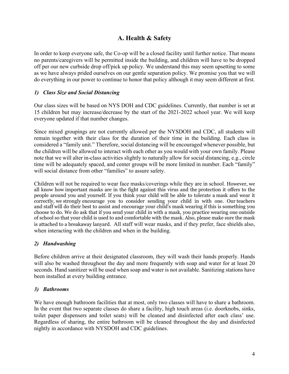## **A. Health & Safety**

In order to keep everyone safe, the Co-op will be a closed facility until further notice. That means no parents/caregivers will be permitted inside the building, and children will have to be dropped off per our new curbside drop off/pick up policy. We understand this may seem upsetting to some as we have always prided ourselves on our gentle separation policy. We promise you that we will do everything in our power to continue to honor that policy although it may seem different at first.

## *1) Class Size and Social Distancing*

Our class sizes will be based on NYS DOH and CDC guidelines. Currently, that number is set at 15 children but may increase/decrease by the start of the 2021-2022 school year. We will keep everyone updated if that number changes.

Since mixed groupings are not currently allowed per the NYSDOH and CDC, all students will remain together with their class for the duration of their time in the building. Each class is considered a "family unit." Therefore, social distancing will be encouraged whenever possible, but the children will be allowed to interact with each other as you would with your own family. Please note that we will alter in-class activities slightly to naturally allow for social distancing, e.g., circle time will be adequately spaced, and center groups will be more limited in number. Each "family" will social distance from other "families" to assure safety.

Children will not be required to wear face masks/coverings while they are in school. However, we all know how important masks are in the fight against this virus and the protection it offers to the people around you and yourself. If you think your child will be able to tolerate a mask and wear it correctly, we strongly encourage you to consider sending your child in with one. Our teachers and staff will do their best to assist and encourage your child's mask wearing if this is something you choose to do. We do ask that if you send your child in with a mask, you practice wearing one outside of school so that your child is used to and comfortable with the mask. Also, please make sure the mask is attached to a breakaway lanyard. All staff will wear masks, and if they prefer, face shields also, when interacting with the children and when in the building.

## *2) Handwashing*

Before children arrive at their designated classroom, they will wash their hands properly. Hands will also be washed throughout the day and more frequently with soap and water for at least 20 seconds. Hand sanitizer will be used when soap and water is not available. Sanitizing stations have been installed at every building entrance.

## *3) Bathrooms*

We have enough bathroom facilities that at most, only two classes will have to share a bathroom. In the event that two separate classes do share a facility, high touch areas (i.e. doorknobs, sinks, toilet paper dispensers and toilet seats) will be cleaned and disinfected after each class' use. Regardless of sharing, the entire bathroom will be cleaned throughout the day and disinfected nightly in accordance with NYSDOH and CDC guidelines.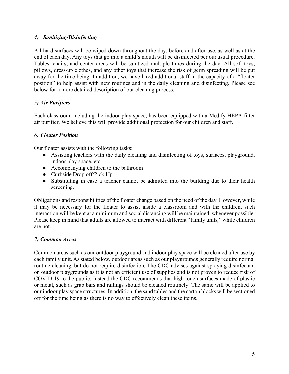## *4) Sanitizing/Disinfecting*

All hard surfaces will be wiped down throughout the day, before and after use, as well as at the end of each day. Any toys that go into a child's mouth will be disinfected per our usual procedure. Tables, chairs, and center areas will be sanitized multiple times during the day. All soft toys, pillows, dress-up clothes, and any other toys that increase the risk of germ spreading will be put away for the time being. In addition, we have hired additional staff in the capacity of a "floater position" to help assist with new routines and in the daily cleaning and disinfecting. Please see below for a more detailed description of our cleaning process.

## *5) Air Purifiers*

Each classroom, including the indoor play space, has been equipped with a Medify HEPA filter air purifier. We believe this will provide additional protection for our children and staff.

## *6) Floater Position*

Our floater assists with the following tasks:

- Assisting teachers with the daily cleaning and disinfecting of toys, surfaces, playground, indoor play space, etc.
- Accompanying children to the bathroom
- Curbside Drop off/Pick Up
- Substituting in case a teacher cannot be admitted into the building due to their health screening.

Obligations and responsibilities of the floater change based on the need of the day. However, while it may be necessary for the floater to assist inside a classroom and with the children, such interaction will be kept at a minimum and social distancing will be maintained, whenever possible. Please keep in mind that adults are allowed to interact with different "family units," while children are not.

## *7) Common Areas*

Common areas such as our outdoor playground and indoor play space will be cleaned after use by each family unit. As stated below, outdoor areas such as our playgrounds generally require normal routine cleaning, but do not require disinfection. The CDC advises against spraying disinfectant on outdoor playgrounds as it is not an efficient use of supplies and is not proven to reduce risk of COVID-19 to the public. Instead the CDC recommends that high touch surfaces made of plastic or metal, such as grab bars and railings should be cleaned routinely. The same will be applied to our indoor play space structures. In addition, the sand tables and the carton blocks will be sectioned off for the time being as there is no way to effectively clean these items.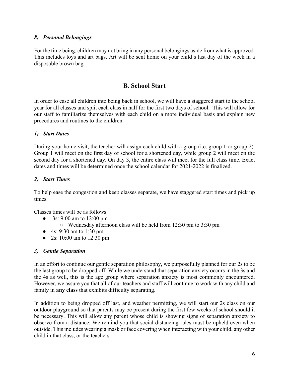## *8) Personal Belongings*

For the time being, children may not bring in any personal belongings aside from what is approved. This includes toys and art bags. Art will be sent home on your child's last day of the week in a disposable brown bag.

## **B. School Start**

In order to ease all children into being back in school, we will have a staggered start to the school year for all classes and split each class in half for the first two days of school. This will allow for our staff to familiarize themselves with each child on a more individual basis and explain new procedures and routines to the children.

## *1) Start Dates*

During your home visit, the teacher will assign each child with a group (i.e. group 1 or group 2). Group 1 will meet on the first day of school for a shortened day, while group 2 will meet on the second day for a shortened day. On day 3, the entire class will meet for the full class time. Exact dates and times will be determined once the school calendar for 2021-2022 is finalized.

## *2) Start Times*

To help ease the congestion and keep classes separate, we have staggered start times and pick up times.

Classes times will be as follows:

- 3s: 9:00 am to 12:00 pm
	- Wednesday afternoon class will be held from 12:30 pm to 3:30 pm
- 4s: 9:30 am to 1:30 pm
- 2s: 10:00 am to 12:30 pm

## *3) Gentle Separation*

In an effort to continue our gentle separation philosophy, we purposefully planned for our 2s to be the last group to be dropped off. While we understand that separation anxiety occurs in the 3s and the 4s as well, this is the age group where separation anxiety is most commonly encountered. However, we assure you that all of our teachers and staff will continue to work with any child and family in **any class** that exhibits difficulty separating.

In addition to being dropped off last, and weather permitting, we will start our 2s class on our outdoor playground so that parents may be present during the first few weeks of school should it be necessary. This will allow any parent whose child is showing signs of separation anxiety to observe from a distance. We remind you that social distancing rules must be upheld even when outside. This includes wearing a mask or face covering when interacting with your child, any other child in that class, or the teachers.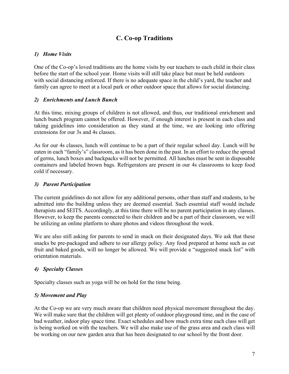## **C. Co-op Traditions**

## *1) Home Visits*

One of the Co-op's loved traditions are the home visits by our teachers to each child in their class before the start of the school year. Home visits will still take place but must be held outdoors with social distancing enforced. If there is no adequate space in the child's yard, the teacher and family can agree to meet at a local park or other outdoor space that allows for social distancing.

## *2) Enrichments and Lunch Bunch*

At this time, mixing groups of children is not allowed, and thus, our traditional enrichment and lunch bunch program cannot be offered. However, if enough interest is present in each class and taking guidelines into consideration as they stand at the time, we are looking into offering extensions for our 3s and 4s classes.

As for our 4s classes, lunch will continue to be a part of their regular school day. Lunch will be eaten in each "family's" classroom, as it has been done in the past. In an effort to reduce the spread of germs, lunch boxes and backpacks will not be permitted. All lunches must be sent in disposable containers and labeled brown bags. Refrigerators are present in our 4s classrooms to keep food cold if necessary.

## *3) Parent Participation*

The current guidelines do not allow for any additional persons, other than staff and students, to be admitted into the building unless they are deemed essential. Such essential staff would include therapists and SEITS. Accordingly, at this time there will be no parent participation in any classes. However, to keep the parents connected to their children and be a part of their classroom, we will be utilizing an online platform to share photos and videos throughout the week.

We are also still asking for parents to send in snack on their designated days. We ask that these snacks be pre-packaged and adhere to our allergy policy. Any food prepared at home such as cut fruit and baked goods, will no longer be allowed. We will provide a "suggested snack list" with orientation materials.

## *4) Specialty Classes*

Specialty classes such as yoga will be on hold for the time being.

## *5) Movement and Play*

At the Co-op we are very much aware that children need physical movement throughout the day. We will make sure that the children will get plenty of outdoor playground time, and in the case of bad weather, indoor play space time. Exact schedules and how much extra time each class will get is being worked on with the teachers. We will also make use of the grass area and each class will be working on our new garden area that has been designated to our school by the front door.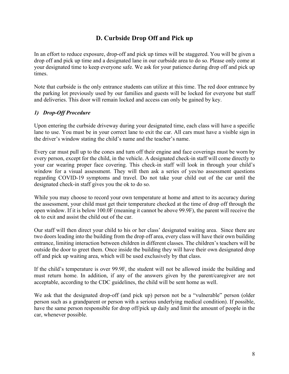## **D. Curbside Drop Off and Pick up**

In an effort to reduce exposure, drop-off and pick up times will be staggered. You will be given a drop off and pick up time and a designated lane in our curbside area to do so. Please only come at your designated time to keep everyone safe. We ask for your patience during drop off and pick up times.

Note that curbside is the only entrance students can utilize at this time. The red door entrance by the parking lot previously used by our families and guests will be locked for everyone but staff and deliveries. This door will remain locked and access can only be gained by key.

## *1) Drop-Off Procedure*

Upon entering the curbside driveway during your designated time, each class will have a specific lane to use. You must be in your correct lane to exit the car. All cars must have a visible sign in the driver's window stating the child's name and the teacher's name.

Every car must pull up to the cones and turn off their engine and face coverings must be worn by every person, except for the child, in the vehicle. A designated check-in staff will come directly to your car wearing proper face covering. This check-in staff will look in through your child's window for a visual assessment. They will then ask a series of yes/no assessment questions regarding COVID-19 symptoms and travel. Do not take your child out of the car until the designated check-in staff gives you the ok to do so.

While you may choose to record your own temperature at home and attest to its accuracy during the assessment, your child must get their temperature checked at the time of drop off through the open window. If it is below 100.0F (meaning it cannot be above 99.9F), the parent will receive the ok to exit and assist the child out of the car.

Our staff will then direct your child to his or her class' designated waiting area. Since there are two doors leading into the building from the drop off area, every class will have their own building entrance, limiting interaction between children in different classes. The children's teachers will be outside the door to greet them. Once inside the building they will have their own designated drop off and pick up waiting area, which will be used exclusively by that class.

If the child's temperature is over 99.9F, the student will not be allowed inside the building and must return home. In addition, if any of the answers given by the parent/caregiver are not acceptable, according to the CDC guidelines, the child will be sent home as well.

We ask that the designated drop-off (and pick up) person not be a "vulnerable" person (older person such as a grandparent or person with a serious underlying medical condition). If possible, have the same person responsible for drop off/pick up daily and limit the amount of people in the car, whenever possible.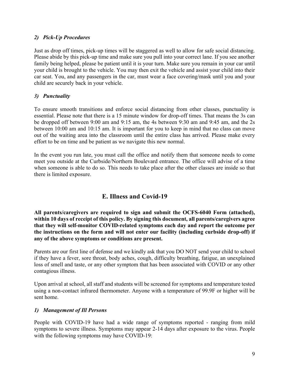## *2) Pick-Up Procedures*

Just as drop off times, pick-up times will be staggered as well to allow for safe social distancing. Please abide by this pick-up time and make sure you pull into your correct lane. If you see another family being helped, please be patient until it is your turn. Make sure you remain in your car until your child is brought to the vehicle. You may then exit the vehicle and assist your child into their car seat. You, and any passengers in the car, must wear a face covering/mask until you and your child are securely back in your vehicle.

## *3) Punctuality*

To ensure smooth transitions and enforce social distancing from other classes, punctuality is essential. Please note that there is a 15 minute window for drop-off times. That means the 3s can be dropped off between 9:00 am and 9:15 am, the 4s between 9:30 am and 9:45 am, and the 2s between 10:00 am and 10:15 am. It is important for you to keep in mind that no class can move out of the waiting area into the classroom until the entire class has arrived. Please make every effort to be on time and be patient as we navigate this new normal.

In the event you run late, you must call the office and notify them that someone needs to come meet you outside at the Curbside/Northern Boulevard entrance. The office will advise of a time when someone is able to do so. This needs to take place after the other classes are inside so that there is limited exposure.

## **E. Illness and Covid-19**

**All parents/caregivers are required to sign and submit the OCFS-6040 Form (attached), within 10 days of receipt of this policy. By signing this document, all parents/caregivers agree that they will self-monitor COVID-related symptoms each day and report the outcome per the instructions on the form and will not enter our facility (including curbside drop-off) if any of the above symptoms or conditions are present.**

Parents are our first line of defense and we kindly ask that you DO NOT send your child to school if they have a fever, sore throat, body aches, cough, difficulty breathing, fatigue, an unexplained loss of smell and taste, or any other symptom that has been associated with COVID or any other contagious illness.

Upon arrival at school, all staff and students will be screened for symptoms and temperature tested using a non-contact infrared thermometer. Anyone with a temperature of 99.9F or higher will be sent home.

## *1) Management of Ill Persons*

People with COVID-19 have had a wide range of symptoms reported - ranging from mild symptoms to severe illness. Symptoms may appear 2-14 days after exposure to the virus. People with the following symptoms may have COVID-19: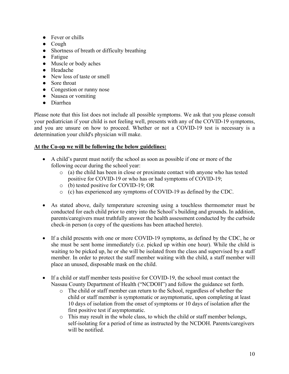- Fever or chills
- Cough
- Shortness of breath or difficulty breathing
- Fatigue
- Muscle or body aches
- Headache
- New loss of taste or smell
- Sore throat
- Congestion or runny nose
- Nausea or vomiting
- Diarrhea

Please note that this list does not include all possible symptoms. We ask that you please consult your pediatrician if your child is not feeling well, presents with any of the COVID-19 symptoms, and you are unsure on how to proceed. Whether or not a COVID-19 test is necessary is a determination your child's physician will make.

## **At the Co-op we will be following the below guidelines:**

- A child's parent must notify the school as soon as possible if one or more of the following occur during the school year:
	- o (a) the child has been in close or proximate contact with anyone who has tested positive for COVID-19 or who has or had symptoms of COVID-19;
	- o (b) tested positive for COVID-19; OR
	- o (c) has experienced any symptoms of COVID-19 as defined by the CDC.
- As stated above, daily temperature screening using a touchless thermometer must be conducted for each child prior to entry into the School's building and grounds. In addition, parents/caregivers must truthfully answer the health assessment conducted by the curbside check-in person (a copy of the questions has been attached hereto).
- If a child presents with one or more COVID-19 symptoms, as defined by the CDC, he or she must be sent home immediately (i.e. picked up within one hour). While the child is waiting to be picked up, he or she will be isolated from the class and supervised by a staff member. In order to protect the staff member waiting with the child, a staff member will place an unused, disposable mask on the child.
- If a child or staff member tests positive for COVID-19, the school must contact the Nassau County Department of Health ("NCDOH") and follow the guidance set forth.
	- o The child or staff member can return to the School, regardless of whether the child or staff member is symptomatic or asymptomatic, upon completing at least 10 days of isolation from the onset of symptoms or 10 days of isolation after the first positive test if asymptomatic.
	- o This may result in the whole class, to which the child or staff member belongs, self-isolating for a period of time as instructed by the NCDOH. Parents/caregivers will be notified.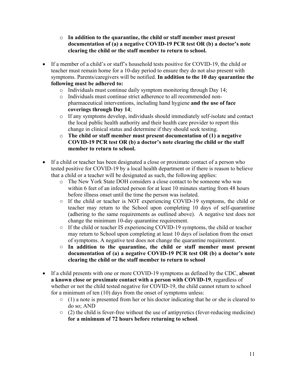- o **In addition to the quarantine, the child or staff member must present documentation of (a) a negative COVID-19 PCR test OR (b) a doctor's note clearing the child or the staff member to return to school.**
- If a member of a child's or staff's household tests positive for COVID-19, the child or teacher must remain home for a 10-day period to ensure they do not also present with symptoms. Parents/caregivers will be notified. **In addition to the 10 day quarantine the following must be adhered to:**
	- o Individuals must continue daily symptom monitoring through Day 14;
	- o Individuals must continue strict adherence to all recommended nonpharmaceutical interventions, including hand hygiene **and the use of face coverings through Day 14**;
	- o If any symptoms develop, individuals should immediately self-isolate and contact the local public health authority and their health care provider to report this change in clinical status and determine if they should seek testing.
	- o **The child or staff member must present documentation of (1) a negative COVID-19 PCR test OR (b) a doctor's note clearing the child or the staff member to return to school.**
- If a child or teacher has been designated a close or proximate contact of a person who tested positive for COVID-19 by a local health department or if there is reason to believe that a child or a teacher will be designated as such, the following applies:
	- o The New York State DOH considers a close contact to be someone who was within 6 feet of an infected person for at least 10 minutes starting from 48 hours before illness onset until the time the person was isolated.
	- If the child or teacher is NOT experiencing COVID-19 symptoms, the child or teacher may return to the School upon completing 10 days of self-quarantine (adhering to the same requirements as outlined above). A negative test does not change the minimum 10-day quarantine requirement.
	- If the child or teacher IS experiencing COVID-19 symptoms, the child or teacher may return to School upon completing at least 10 days of isolation from the onset of symptoms. A negative test does not change the quarantine requirement.
	- **In addition to the quarantine, the child or staff member must present documentation of (a) a negative COVID-19 PCR test OR (b) a doctor's note clearing the child or the staff member to return to school**
- If a child presents with one or more COVID-19 symptoms as defined by the CDC, **absent a known close or proximate contact with a person with COVID-19**, regardless of whether or not the child tested negative for COVID-19, the child cannot return to school for a minimum of ten (10) days from the onset of symptoms unless:
	- (1) a note is presented from her or his doctor indicating that he or she is cleared to do so; AND
	- $\circ$  (2) the child is fever-free without the use of antipyretics (fever-reducing medicine) **for a minimum of 72 hours before returning to school**.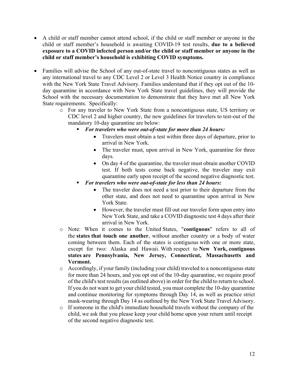- A child or staff member cannot attend school, if the child or staff member or anyone in the child or staff member's household is awaiting COVID-19 test results, **due to a believed exposure to a COVID infected person and/or the child or staff member or anyone in the child or staff member's household is exhibiting COVID symptoms.**
- Families will advise the School of any out-of-state travel to noncontiguous states as well as any international travel to any CDC Level 2 or Level 3 Health Notice country in compliance with the New York State Travel Advisory. Families understand that if they opt out of the 10 day quarantine in accordance with New York State travel guidelines, they will provide the School with the necessary documentation to demonstrate that they have met all New York State requirements. Specifically:
	- o For any traveler to New York State from a noncontiguous state, US territory or CDC level 2 and higher country, the new guidelines for travelers to test-out of the mandatory 10-day quarantine are below:
		- § *For travelers who were out-of-state for more than 24 hours:*
			- Travelers must obtain a test within three days of departure, prior to arrival in New York.
			- The traveler must, upon arrival in New York, quarantine for three days.
			- On day 4 of the quarantine, the traveler must obtain another COVID test. If both tests come back negative, the traveler may exit quarantine early upon receipt of the second negative diagnostic test.
		- § *For travelers who were out-of-state for less than 24 hours:*
			- The traveler does not need a test prior to their departure from the other state, and does not need to quarantine upon arrival in New York State.
			- However, the traveler must fill out our traveler form upon entry into New York State, and take a COVID diagnostic test 4 days after their arrival in New York.
	- o Note: When it comes to the United States, "**contiguous**" refers to all of the **states that touch one another**, without another country or a body of water coming between them. Each of the states is contiguous with one or more state, except for two: Alaska and Hawaii. With respect to **New York, contiguous states are Pennsylvania, New Jersey, Connecticut, Massachusetts and Vermont.**
	- o Accordingly, if your family (including your child) traveled to a noncontiguous state for more than 24 hours, and you opt out of the 10-day quarantine, we require proof of the child's test results (as outlined above) in order for the child to return to school. If you do not want to get your child tested, you must complete the 10-day quarantine and continue monitoring for symptoms through Day 14, as well as practice strict mask-wearing through Day 14 as outlined by the New York State Travel Advisory.
	- o If someone in the child's immediate household travels without the company of the child, we ask that you please keep your child home upon your return until receipt of the second negative diagnostic test.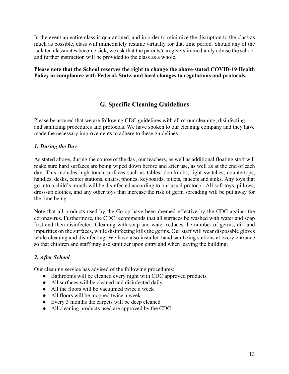In the event an entire class is quarantined, and in order to minimize the disruption to the class as much as possible, class will immediately resume virtually for that time period. Should any of the isolated classmates become sick, we ask that the parents/caregivers immediately advise the school and further instruction will be provided to the class as a whole.

#### **Please note that the School reserves the right to change the above-stated COVID-19 Health Policy in compliance with Federal, State, and local changes to regulations and protocols.**

## **G. Specific Cleaning Guidelines**

Please be assured that we are following CDC guidelines with all of our cleaning, disinfecting, and sanitizing procedures and protocols. We have spoken to our cleaning company and they have made the necessary improvements to adhere to these guidelines.

## *1) During the Day*

As stated above, during the course of the day, our teachers, as well as additional floating staff will make sure hard surfaces are being wiped down before and after use, as well as at the end of each day. This includes high touch surfaces such as tables, doorknobs, light switches, countertops, handles, desks, center stations, chairs, phones, keyboards, toilets, faucets and sinks. Any toys that go into a child's mouth will be disinfected according to our usual protocol. All soft toys, pillows, dress-up clothes, and any other toys that increase the risk of germ spreading will be put away for the time being.

Note that all products used by the Co-op have been deemed effective by the CDC against the coronavirus. Furthermore, the CDC recommends that all surfaces be washed with water and soap first and then disinfected. Cleaning with soap and water reduces the number of germs, dirt and impurities on the surfaces, while disinfecting kills the germs. Our staff will wear disposable gloves while cleaning and disinfecting. We have also installed hand sanitizing stations at every entrance so that children and staff may use sanitizer upon entry and when leaving the building.

## *2) After School*

Our cleaning service has advised of the following procedures:

- Bathrooms will be cleaned every night with CDC approved products
- All surfaces will be cleaned and disinfected daily
- All the floors will be vacuumed twice a week
- All floors will be mopped twice a week
- Every 3 months the carpets will be deep cleaned
- All cleaning products used are approved by the CDC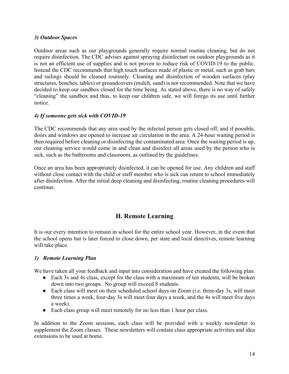## *3) Outdoor Spaces*

Outdoor areas such as our playgrounds generally require normal routine cleaning, but do not require disinfection. The CDC advises against spraying disinfectant on outdoor playgrounds as it is not an efficient use of supplies and is not proven to reduce risk of COVID-19 to the public. Instead the CDC recommends that high touch surfaces made of plastic or metal, such as grab bars and railings should be cleaned routinely. Cleaning and disinfection of wooden surfaces (play structures, benches, tables) or groundcovers (mulch, sand) is not recommended. Note that we have decided to keep our sandbox closed for the time being. As stated above, there is no way of safely "cleaning" the sandbox and thus, to keep our children safe, we will forego its use until further notice.

## *4) If someone gets sick with COVID-19*

The CDC recommends that any area used by the infected person gets closed off, and if possible, doors and windows are opened to increase air circulation in the area. A 24-hour waiting period is then required before cleaning or disinfecting the contaminated area. Once the waiting period is up, our cleaning service would come in and clean and disinfect all areas used by the person who is sick, such as the bathrooms and classroom, as outlined by the guidelines.

Once an area has been appropriately disinfected, it can be opened for use. Any children and staff without close contact with the child or staff member who is sick can return to school immediately after disinfection. After the initial deep cleaning and disinfecting, routine cleaning procedures will continue.

## **H. Remote Learning**

It is our every intention to remain in school for the entire school year. However, in the event that the school opens but is later forced to close down, per state and local directives, remote learning will take place.

## *1) Remote Learning Plan*

We have taken all your feedback and input into consideration and have created the following plan.

- Each 3s and 4s class, except for the class with a maximum of ten students, will be broken down into two groups. No group will exceed 8 students.
- Each class will meet on their scheduled school days on Zoom (i.e. three-day 3s, will meet three times a week, four-day 3s will meet four days a week, and the 4s will meet five days a week).
- Each class group will meet remotely for no less than 1 hour per class.

In addition to the Zoom sessions, each class will be provided with a weekly newsletter to supplement the Zoom classes. These newsletters will contain class appropriate activities and idea extensions to be used at home.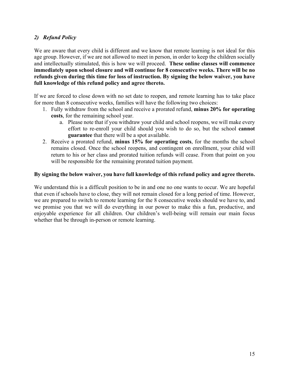## *2) Refund Policy*

We are aware that every child is different and we know that remote learning is not ideal for this age group. However, if we are not allowed to meet in person, in order to keep the children socially and intellectually stimulated, this is how we will proceed. **These online classes will commence immediately upon school closure and will continue for 8 consecutive weeks. There will be no refunds given during this time for loss of instruction. By signing the below waiver, you have full knowledge of this refund policy and agree thereto.**

If we are forced to close down with no set date to reopen, and remote learning has to take place for more than 8 consecutive weeks, families will have the following two choices:

- 1. Fully withdraw from the school and receive a prorated refund, **minus 20% for operating costs**, for the remaining school year.
	- a. Please note that if you withdraw your child and school reopens, we will make every effort to re-enroll your child should you wish to do so, but the school **cannot guarantee** that there will be a spot available.
- 2. Receive a prorated refund, **minus 15% for operating costs**, for the months the school remains closed. Once the school reopens, and contingent on enrollment, your child will return to his or her class and prorated tuition refunds will cease. From that point on you will be responsible for the remaining prorated tuition payment.

#### **By signing the below waiver, you have full knowledge of this refund policy and agree thereto.**

We understand this is a difficult position to be in and one no one wants to occur. We are hopeful that even if schools have to close, they will not remain closed for a long period of time. However, we are prepared to switch to remote learning for the 8 consecutive weeks should we have to, and we promise you that we will do everything in our power to make this a fun, productive, and enjoyable experience for all children. Our children's well-being will remain our main focus whether that be through in-person or remote learning.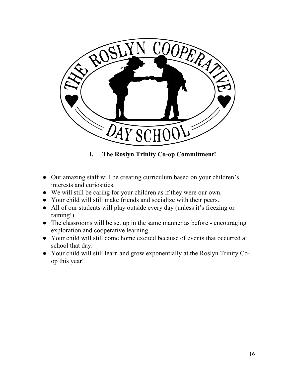

**I. The Roslyn Trinity Co-op Commitment!**

- Our amazing staff will be creating curriculum based on your children's interests and curiosities.
- We will still be caring for your children as if they were our own.
- Your child will still make friends and socialize with their peers.
- All of our students will play outside every day (unless it's freezing or raining!).
- The classrooms will be set up in the same manner as before encouraging exploration and cooperative learning.
- Your child will still come home excited because of events that occurred at school that day.
- Your child will still learn and grow exponentially at the Roslyn Trinity Coop this year!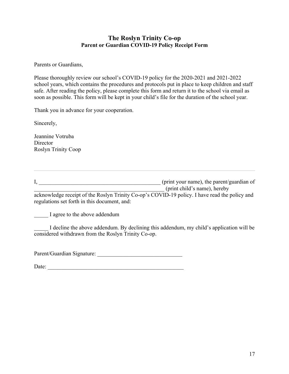## **The Roslyn Trinity Co-op Parent or Guardian COVID-19 Policy Receipt Form**

Parents or Guardians,

Please thoroughly review our school's COVID-19 policy for the 2020-2021 and 2021-2022 school years, which contains the procedures and protocols put in place to keep children and staff safe. After reading the policy, please complete this form and return it to the school via email as soon as possible. This form will be kept in your child's file for the duration of the school year.

Thank you in advance for your cooperation.

Sincerely,

Jeannine Votruba **Director** Roslyn Trinity Coop

I, \_\_\_\_\_\_\_\_\_\_\_\_\_\_\_\_\_\_\_\_\_\_\_\_\_\_\_\_\_\_\_\_\_\_\_\_\_\_\_\_\_\_\_ (print your name), the parent/guardian of  $(print$  child's name), hereby

acknowledge receipt of the Roslyn Trinity Co-op's COVID-19 policy. I have read the policy and regulations set forth in this document, and:

I agree to the above addendum

I decline the above addendum. By declining this addendum, my child's application will be considered withdrawn from the Roslyn Trinity Co-op.

Parent/Guardian Signature: \_\_\_\_\_\_\_\_\_\_\_\_\_\_\_\_\_\_\_\_\_\_\_\_\_\_\_\_\_\_

Date: \_\_\_\_\_\_\_\_\_\_\_\_\_\_\_\_\_\_\_\_\_\_\_\_\_\_\_\_\_\_\_\_\_\_\_\_\_\_\_\_\_\_\_\_\_\_\_\_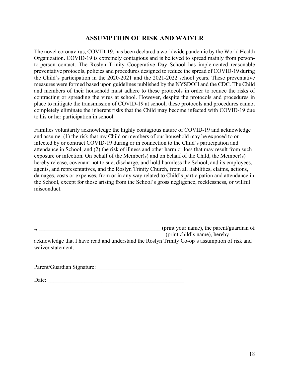## **ASSUMPTION OF RISK AND WAIVER**

The novel coronavirus, COVID-19, has been declared a worldwide pandemic by the World Health Organization**.** COVID-19 is extremely contagious and is believed to spread mainly from personto-person contact. The Roslyn Trinity Cooperative Day School has implemented reasonable preventative protocols, policies and procedures designed to reduce the spread of COVID-19 during the Child's participation in the 2020-2021 and the 2021-2022 school years. These preventative measures were formed based upon guidelines published by the NYSDOH and the CDC. The Child and members of their household must adhere to these protocols in order to reduce the risks of contracting or spreading the virus at school. However, despite the protocols and procedures in place to mitigate the transmission of COVID-19 at school, these protocols and procedures cannot completely eliminate the inherent risks that the Child may become infected with COVID-19 due to his or her participation in school.

Families voluntarily acknowledge the highly contagious nature of COVID-19 and acknowledge and assume: (1) the risk that my Child or members of our household may be exposed to or infected by or contract COVID-19 during or in connection to the Child's participation and attendance in School, and (2) the risk of illness and other harm or loss that may result from such exposure or infection. On behalf of the Member(s) and on behalf of the Child, the Member(s) hereby release, covenant not to sue, discharge, and hold harmless the School, and its employees, agents, and representatives, and the Roslyn Trinity Church, from all liabilities, claims, actions, damages, costs or expenses, from or in any way related to Child's participation and attendance in the School, except for those arising from the School's gross negligence, recklessness, or willful misconduct.

I, \_\_\_\_\_\_\_\_\_\_\_\_\_\_\_\_\_\_\_\_\_\_\_\_\_\_\_\_\_\_\_\_\_\_\_\_\_\_\_\_\_\_\_ (print your name), the parent/guardian of  $(print$  child's name), hereby acknowledge that I have read and understand the Roslyn Trinity Co-op's assumption of risk and waiver statement.

Parent/Guardian Signature: \_\_\_\_\_\_\_\_\_\_\_\_\_\_\_\_\_\_\_\_\_\_\_\_\_\_\_\_\_\_

Date: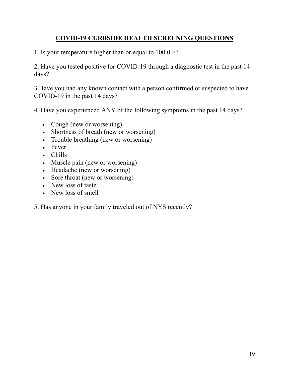## **COVID-19 CURBSIDE HEALTH SCREENING QUESTIONS**

1. Is your temperature higher than or equal to 100.0 F?

2. Have you tested positive for COVID-19 through a diagnostic test in the past 14 days?

3.Have you had any known contact with a person confirmed or suspected to have COVID-19 in the past 14 days?

4. Have you experienced ANY of the following symptoms in the past 14 days?

- Cough (new or worsening)
- Shortness of breath (new or worsening)
- Trouble breathing (new or worsening)
- Fever
- Chills
- Muscle pain (new or worsening)
- Headache (new or worsening)
- Sore throat (new or worsening)
- New loss of taste
- New loss of smell
- 5. Has anyone in your family traveled out of NYS recently?